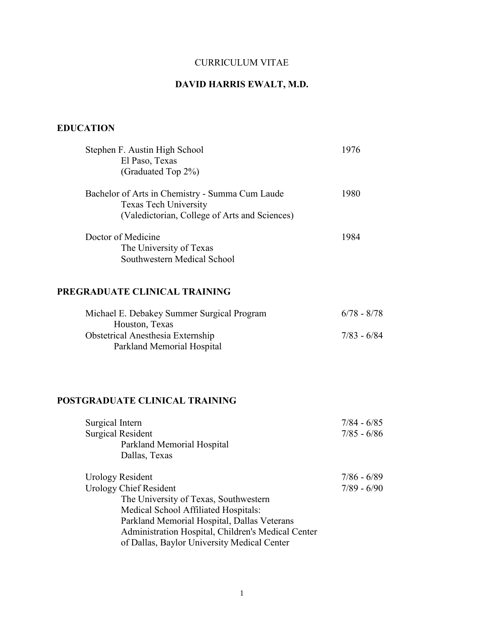## CURRICULUM VITAE

# DAVID HARRIS EWALT, M.D.

## EDUCATION

| Stephen F. Austin High School<br>El Paso, Texas<br>(Graduated Top 2%)                                                            | 1976                           |
|----------------------------------------------------------------------------------------------------------------------------------|--------------------------------|
| Bachelor of Arts in Chemistry - Summa Cum Laude<br><b>Texas Tech University</b><br>(Valedictorian, College of Arts and Sciences) | 1980                           |
| Doctor of Medicine<br>The University of Texas<br>Southwestern Medical School                                                     | 1984                           |
| PREGRADUATE CLINICAL TRAINING                                                                                                    |                                |
| Michael E. Debakey Summer Surgical Program                                                                                       | $6/78 - 8/78$                  |
| Houston, Texas<br>Obstetrical Anesthesia Externship<br>Parkland Memorial Hospital                                                | $7/83 - 6/84$                  |
| POSTGRADUATE CLINICAL TRAINING                                                                                                   |                                |
| Surgical Intern<br><b>Surgical Resident</b><br>Parkland Memorial Hospital<br>Dallas, Texas                                       | $7/84 - 6/85$<br>$7/85 - 6/86$ |
| <b>Urology Resident</b><br><b>Urology Chief Resident</b><br>The University of Texas, Southwestern                                | $7/86 - 6/89$<br>$7/89 - 6/90$ |

Parkland Memorial Hospital, Dallas Veterans Administration Hospital, Children's Medical Center

of Dallas, Baylor University Medical Center

Medical School Affiliated Hospitals: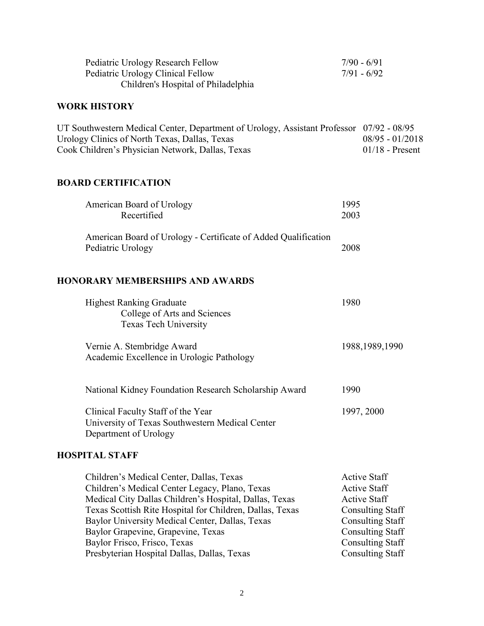| Pediatric Urology Research Fellow<br>Pediatric Urology Clinical Fellow<br>Children's Hospital of Philadelphia                                                                                                                                                                                             | $7/90 - 6/91$<br>$7/91 - 6/92$                                                                                                                     |
|-----------------------------------------------------------------------------------------------------------------------------------------------------------------------------------------------------------------------------------------------------------------------------------------------------------|----------------------------------------------------------------------------------------------------------------------------------------------------|
| <b>WORK HISTORY</b>                                                                                                                                                                                                                                                                                       |                                                                                                                                                    |
| UT Southwestern Medical Center, Department of Urology, Assistant Professor 07/92 - 08/95<br>Urology Clinics of North Texas, Dallas, Texas<br>Cook Children's Physician Network, Dallas, Texas                                                                                                             | $08/95 - 01/2018$<br>$01/18$ - Present                                                                                                             |
| <b>BOARD CERTIFICATION</b>                                                                                                                                                                                                                                                                                |                                                                                                                                                    |
| American Board of Urology<br>Recertified                                                                                                                                                                                                                                                                  | 1995<br>2003                                                                                                                                       |
| American Board of Urology - Certificate of Added Qualification<br>Pediatric Urology                                                                                                                                                                                                                       | 2008                                                                                                                                               |
| <b>HONORARY MEMBERSHIPS AND AWARDS</b>                                                                                                                                                                                                                                                                    |                                                                                                                                                    |
| <b>Highest Ranking Graduate</b><br>College of Arts and Sciences<br>Texas Tech University                                                                                                                                                                                                                  | 1980                                                                                                                                               |
| Vernie A. Stembridge Award<br>Academic Excellence in Urologic Pathology                                                                                                                                                                                                                                   | 1988, 1989, 1990                                                                                                                                   |
| National Kidney Foundation Research Scholarship Award                                                                                                                                                                                                                                                     | 1990                                                                                                                                               |
| Clinical Faculty Staff of the Year<br>University of Texas Southwestern Medical Center<br>Department of Urology                                                                                                                                                                                            | 1997, 2000                                                                                                                                         |
| <b>HOSPITAL STAFF</b>                                                                                                                                                                                                                                                                                     |                                                                                                                                                    |
| Children's Medical Center, Dallas, Texas<br>Children's Medical Center Legacy, Plano, Texas<br>Medical City Dallas Children's Hospital, Dallas, Texas<br>Texas Scottish Rite Hospital for Children, Dallas, Texas<br>Baylor University Medical Center, Dallas, Texas<br>Baylor Grapevine, Grapevine, Texas | <b>Active Staff</b><br><b>Active Staff</b><br><b>Active Staff</b><br><b>Consulting Staff</b><br><b>Consulting Staff</b><br><b>Consulting Staff</b> |

Baylor Frisco, Frisco, Texas Consulting Staff Presbyterian Hospital Dallas, Dallas, Texas Consulting Staff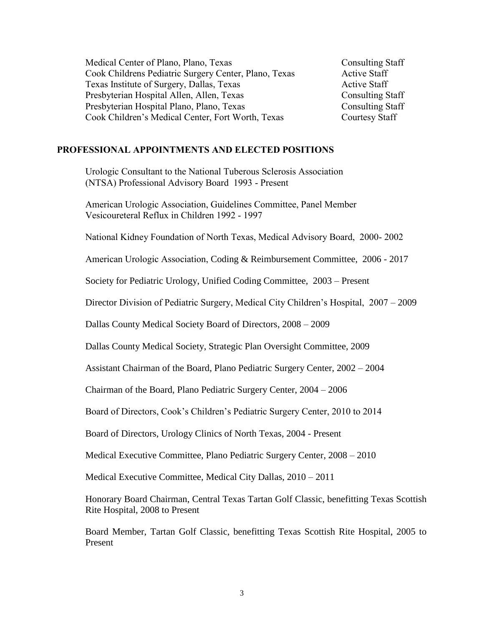| Medical Center of Plano, Plano, Texas                 | <b>Consulting Staff</b> |
|-------------------------------------------------------|-------------------------|
| Cook Childrens Pediatric Surgery Center, Plano, Texas | <b>Active Staff</b>     |
| Texas Institute of Surgery, Dallas, Texas             | <b>Active Staff</b>     |
| Presbyterian Hospital Allen, Allen, Texas             | <b>Consulting Staff</b> |
| Presbyterian Hospital Plano, Plano, Texas             | <b>Consulting Staff</b> |
| Cook Children's Medical Center, Fort Worth, Texas     | Courtesy Staff          |

#### PROFESSIONAL APPOINTMENTS AND ELECTED POSITIONS

Urologic Consultant to the National Tuberous Sclerosis Association (NTSA) Professional Advisory Board 1993 - Present

American Urologic Association, Guidelines Committee, Panel Member Vesicoureteral Reflux in Children 1992 - 1997

National Kidney Foundation of North Texas, Medical Advisory Board, 2000- 2002

American Urologic Association, Coding & Reimbursement Committee, 2006 - 2017

Society for Pediatric Urology, Unified Coding Committee, 2003 – Present

Director Division of Pediatric Surgery, Medical City Children's Hospital, 2007 – 2009

Dallas County Medical Society Board of Directors, 2008 – 2009

Dallas County Medical Society, Strategic Plan Oversight Committee, 2009

Assistant Chairman of the Board, Plano Pediatric Surgery Center, 2002 – 2004

Chairman of the Board, Plano Pediatric Surgery Center, 2004 – 2006

Board of Directors, Cook's Children's Pediatric Surgery Center, 2010 to 2014

Board of Directors, Urology Clinics of North Texas, 2004 - Present

Medical Executive Committee, Plano Pediatric Surgery Center, 2008 – 2010

Medical Executive Committee, Medical City Dallas, 2010 – 2011

Honorary Board Chairman, Central Texas Tartan Golf Classic, benefitting Texas Scottish Rite Hospital, 2008 to Present

Board Member, Tartan Golf Classic, benefitting Texas Scottish Rite Hospital, 2005 to Present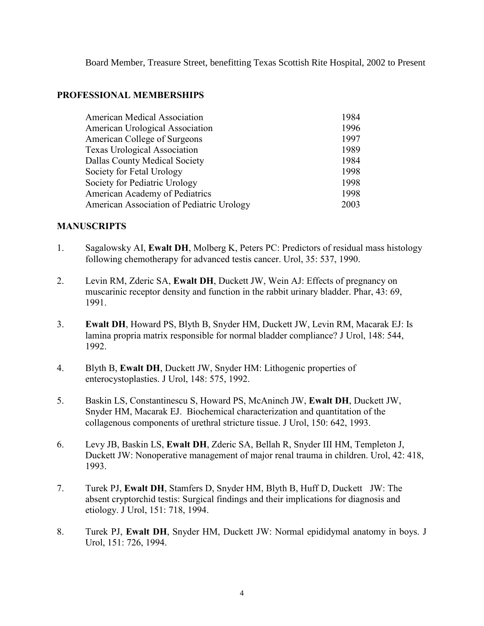Board Member, Treasure Street, benefitting Texas Scottish Rite Hospital, 2002 to Present

#### PROFESSIONAL MEMBERSHIPS

| <b>American Medical Association</b>       | 1984 |
|-------------------------------------------|------|
| American Urological Association           | 1996 |
| American College of Surgeons              | 1997 |
| <b>Texas Urological Association</b>       | 1989 |
| Dallas County Medical Society             | 1984 |
| Society for Fetal Urology                 | 1998 |
| Society for Pediatric Urology             | 1998 |
| American Academy of Pediatrics            | 1998 |
| American Association of Pediatric Urology | 2003 |

#### MANUSCRIPTS

- 1. Sagalowsky AI, Ewalt DH, Molberg K, Peters PC: Predictors of residual mass histology following chemotherapy for advanced testis cancer. Urol, 35: 537, 1990.
- 2. Levin RM, Zderic SA, Ewalt DH, Duckett JW, Wein AJ: Effects of pregnancy on muscarinic receptor density and function in the rabbit urinary bladder. Phar, 43: 69, 1991.
- 3. Ewalt DH, Howard PS, Blyth B, Snyder HM, Duckett JW, Levin RM, Macarak EJ: Is lamina propria matrix responsible for normal bladder compliance? J Urol, 148: 544, 1992.
- 4. Blyth B, Ewalt DH, Duckett JW, Snyder HM: Lithogenic properties of enterocystoplasties. J Urol, 148: 575, 1992.
- 5. Baskin LS, Constantinescu S, Howard PS, McAninch JW, Ewalt DH, Duckett JW, Snyder HM, Macarak EJ. Biochemical characterization and quantitation of the collagenous components of urethral stricture tissue. J Urol, 150: 642, 1993.
- 6. Levy JB, Baskin LS, Ewalt DH, Zderic SA, Bellah R, Snyder III HM, Templeton J, Duckett JW: Nonoperative management of major renal trauma in children. Urol, 42: 418, 1993.
- 7. Turek PJ, Ewalt DH, Stamfers D, Snyder HM, Blyth B, Huff D, Duckett JW: The absent cryptorchid testis: Surgical findings and their implications for diagnosis and etiology. J Urol, 151: 718, 1994.
- 8. Turek PJ, Ewalt DH, Snyder HM, Duckett JW: Normal epididymal anatomy in boys. J Urol, 151: 726, 1994.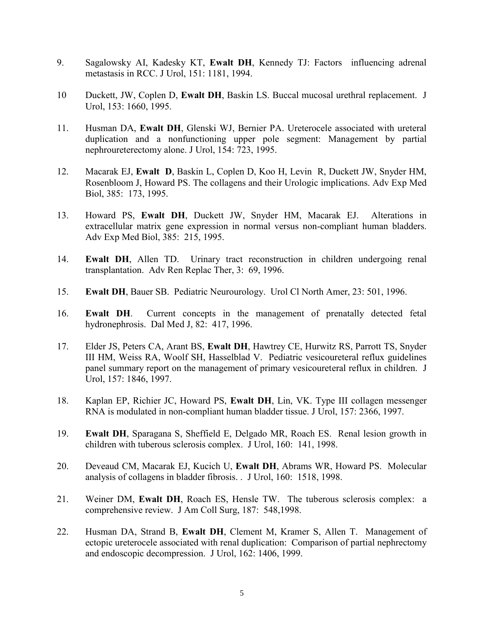- 9. Sagalowsky AI, Kadesky KT, Ewalt DH, Kennedy TJ: Factors influencing adrenal metastasis in RCC. J Urol, 151: 1181, 1994.
- 10 Duckett, JW, Coplen D, Ewalt DH, Baskin LS. Buccal mucosal urethral replacement. J Urol, 153: 1660, 1995.
- 11. Husman DA, Ewalt DH, Glenski WJ, Bernier PA. Ureterocele associated with ureteral duplication and a nonfunctioning upper pole segment: Management by partial nephroureterectomy alone. J Urol, 154: 723, 1995.
- 12. Macarak EJ, Ewalt D, Baskin L, Coplen D, Koo H, Levin R, Duckett JW, Snyder HM, Rosenbloom J, Howard PS. The collagens and their Urologic implications. Adv Exp Med Biol, 385: 173, 1995.
- 13. Howard PS, Ewalt DH, Duckett JW, Snyder HM, Macarak EJ. Alterations in extracellular matrix gene expression in normal versus non-compliant human bladders. Adv Exp Med Biol, 385: 215, 1995.
- 14. Ewalt DH, Allen TD. Urinary tract reconstruction in children undergoing renal transplantation. Adv Ren Replac Ther, 3: 69, 1996.
- 15. Ewalt DH, Bauer SB. Pediatric Neurourology. Urol Cl North Amer, 23: 501, 1996.
- 16. Ewalt DH. Current concepts in the management of prenatally detected fetal hydronephrosis. Dal Med J, 82: 417, 1996.
- 17. Elder JS, Peters CA, Arant BS, Ewalt DH, Hawtrey CE, Hurwitz RS, Parrott TS, Snyder III HM, Weiss RA, Woolf SH, Hasselblad V. Pediatric vesicoureteral reflux guidelines panel summary report on the management of primary vesicoureteral reflux in children. J Urol, 157: 1846, 1997.
- 18. Kaplan EP, Richier JC, Howard PS, Ewalt DH, Lin, VK. Type III collagen messenger RNA is modulated in non-compliant human bladder tissue. J Urol, 157: 2366, 1997.
- 19. Ewalt DH, Sparagana S, Sheffield E, Delgado MR, Roach ES. Renal lesion growth in children with tuberous sclerosis complex. J Urol, 160: 141, 1998.
- 20. Deveaud CM, Macarak EJ, Kucich U, Ewalt DH, Abrams WR, Howard PS. Molecular analysis of collagens in bladder fibrosis. . J Urol, 160: 1518, 1998.
- 21. Weiner DM, Ewalt DH, Roach ES, Hensle TW. The tuberous sclerosis complex: a comprehensive review. J Am Coll Surg, 187: 548,1998.
- 22. Husman DA, Strand B, Ewalt DH, Clement M, Kramer S, Allen T. Management of ectopic ureterocele associated with renal duplication: Comparison of partial nephrectomy and endoscopic decompression. J Urol, 162: 1406, 1999.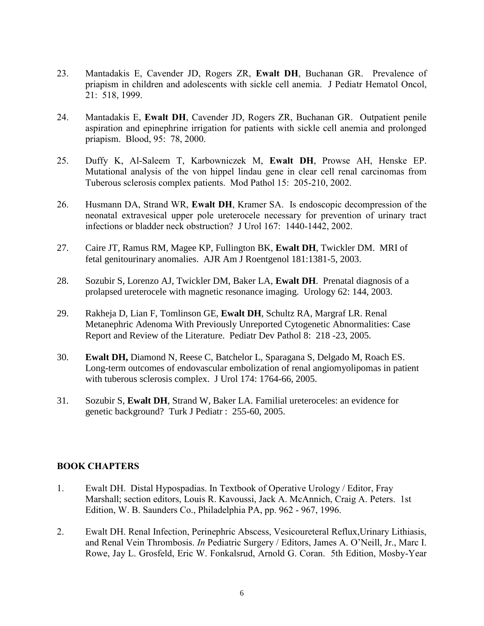- 23. Mantadakis E, Cavender JD, Rogers ZR, Ewalt DH, Buchanan GR. Prevalence of priapism in children and adolescents with sickle cell anemia. J Pediatr Hematol Oncol, 21: 518, 1999.
- 24. Mantadakis E, Ewalt DH, Cavender JD, Rogers ZR, Buchanan GR. Outpatient penile aspiration and epinephrine irrigation for patients with sickle cell anemia and prolonged priapism. Blood, 95: 78, 2000.
- 25. Duffy K, Al-Saleem T, Karbowniczek M, Ewalt DH, Prowse AH, Henske EP. Mutational analysis of the von hippel lindau gene in clear cell renal carcinomas from Tuberous sclerosis complex patients. Mod Pathol 15: 205-210, 2002.
- 26. Husmann DA, Strand WR, Ewalt DH, Kramer SA. Is endoscopic decompression of the neonatal extravesical upper pole ureterocele necessary for prevention of urinary tract infections or bladder neck obstruction? J Urol 167: 1440-1442, 2002.
- 27. [Caire JT, Ramus RM, Magee KP, Fullington BK,](http://www.ncbi.nlm.nih.gov/entrez/query.fcgi?cmd=Retrieve&db=pubmed&dopt=Abstract&list_uids=14573440) **Ewalt DH**, Twickler DM. MRI of fetal genitourinary anomalies. AJR Am J Roentgenol 181:1381-5, 2003.
- 28. [Sozubir S, Lorenzo AJ, Twickler DM, Baker LA,](http://www.ncbi.nlm.nih.gov/entrez/query.fcgi?cmd=Retrieve&db=pubmed&dopt=Abstract&list_uids=12837449) **Ewalt DH**. Prenatal diagnosis of a prolapsed ureterocele with magnetic resonance imaging. Urology 62: 144, 2003.
- 29. [Rakheja D, Lian F, Tomlinson GE,](http://www.ncbi.nlm.nih.gov/entrez/query.fcgi?cmd=Retrieve&db=pubmed&dopt=Abstract&list_uids=15747102) **Ewalt DH**, Schultz RA, Margraf LR. Renal Metanephric Adenoma With Previously Unreported Cytogenetic Abnormalities: Case Report and Review of the Literature. Pediatr Dev Pathol 8: 218 -23, 2005.
- 30. **Ewalt DH,** Diamond N, Reese C, Batchelor L, Sparagana S, Delgado M, Roach ES. Long-term outcomes of endovascular embolization of renal angiomyolipomas in patient with tuberous sclerosis complex. J Urol 174: 1764-66, 2005.
- 31. Sozubir S, **Ewalt DH**, Strand W, Baker LA. Familial ureteroceles: an evidence for genetic background? Turk J Pediatr : 255-60, 2005.

#### BOOK CHAPTERS

- 1. Ewalt DH. Distal Hypospadias. In Textbook of Operative Urology / Editor, Fray Marshall; section editors, Louis R. Kavoussi, Jack A. McAnnich, Craig A. Peters. 1st Edition, W. B. Saunders Co., Philadelphia PA, pp. 962 - 967, 1996.
- 2. Ewalt DH. Renal Infection, Perinephric Abscess, Vesicoureteral Reflux,Urinary Lithiasis, and Renal Vein Thrombosis. *In* Pediatric Surgery / Editors, James A. O'Neill, Jr., Marc I. Rowe, Jay L. Grosfeld, Eric W. Fonkalsrud, Arnold G. Coran. 5th Edition, Mosby-Year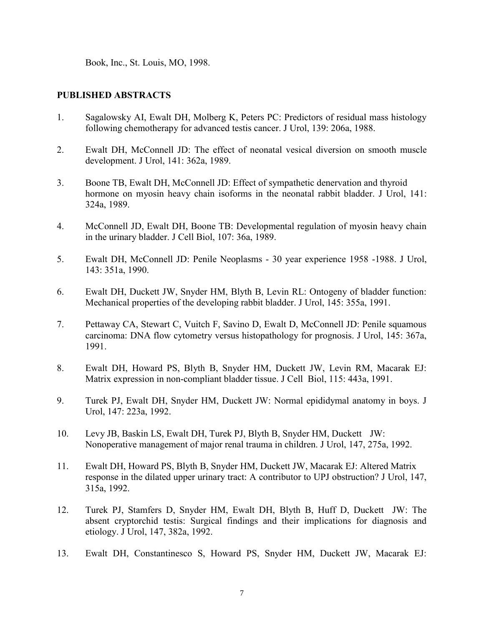Book, Inc., St. Louis, MO, 1998.

#### PUBLISHED ABSTRACTS

- 1. Sagalowsky AI, Ewalt DH, Molberg K, Peters PC: Predictors of residual mass histology following chemotherapy for advanced testis cancer. J Urol, 139: 206a, 1988.
- 2. Ewalt DH, McConnell JD: The effect of neonatal vesical diversion on smooth muscle development. J Urol, 141: 362a, 1989.
- 3. Boone TB, Ewalt DH, McConnell JD: Effect of sympathetic denervation and thyroid hormone on myosin heavy chain isoforms in the neonatal rabbit bladder. J Urol, 141: 324a, 1989.
- 4. McConnell JD, Ewalt DH, Boone TB: Developmental regulation of myosin heavy chain in the urinary bladder. J Cell Biol, 107: 36a, 1989.
- 5. Ewalt DH, McConnell JD: Penile Neoplasms 30 year experience 1958 -1988. J Urol, 143: 351a, 1990.
- 6. Ewalt DH, Duckett JW, Snyder HM, Blyth B, Levin RL: Ontogeny of bladder function: Mechanical properties of the developing rabbit bladder. J Urol, 145: 355a, 1991.
- 7. Pettaway CA, Stewart C, Vuitch F, Savino D, Ewalt D, McConnell JD: Penile squamous carcinoma: DNA flow cytometry versus histopathology for prognosis. J Urol, 145: 367a, 1991.
- 8. Ewalt DH, Howard PS, Blyth B, Snyder HM, Duckett JW, Levin RM, Macarak EJ: Matrix expression in non-compliant bladder tissue. J Cell Biol, 115: 443a, 1991.
- 9. Turek PJ, Ewalt DH, Snyder HM, Duckett JW: Normal epididymal anatomy in boys. J Urol, 147: 223a, 1992.
- 10. Levy JB, Baskin LS, Ewalt DH, Turek PJ, Blyth B, Snyder HM, Duckett JW: Nonoperative management of major renal trauma in children. J Urol, 147, 275a, 1992.
- 11. Ewalt DH, Howard PS, Blyth B, Snyder HM, Duckett JW, Macarak EJ: Altered Matrix response in the dilated upper urinary tract: A contributor to UPJ obstruction? J Urol, 147, 315a, 1992.
- 12. Turek PJ, Stamfers D, Snyder HM, Ewalt DH, Blyth B, Huff D, Duckett JW: The absent cryptorchid testis: Surgical findings and their implications for diagnosis and etiology. J Urol, 147, 382a, 1992.
- 13. Ewalt DH, Constantinesco S, Howard PS, Snyder HM, Duckett JW, Macarak EJ: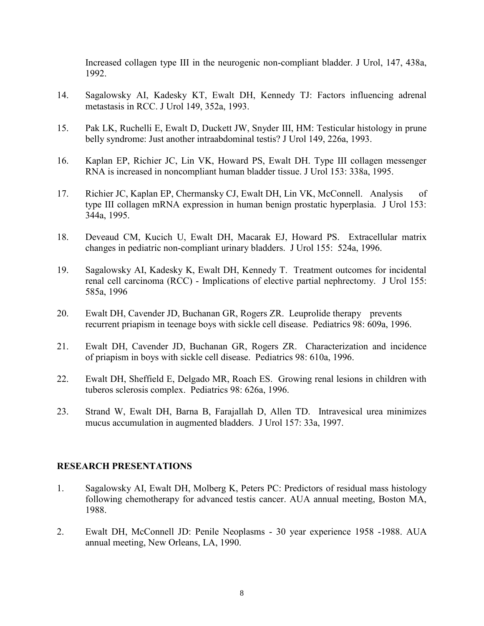Increased collagen type III in the neurogenic non-compliant bladder. J Urol, 147, 438a, 1992.

- 14. Sagalowsky AI, Kadesky KT, Ewalt DH, Kennedy TJ: Factors influencing adrenal metastasis in RCC. J Urol 149, 352a, 1993.
- 15. Pak LK, Ruchelli E, Ewalt D, Duckett JW, Snyder III, HM: Testicular histology in prune belly syndrome: Just another intraabdominal testis? J Urol 149, 226a, 1993.
- 16. Kaplan EP, Richier JC, Lin VK, Howard PS, Ewalt DH. Type III collagen messenger RNA is increased in noncompliant human bladder tissue. J Urol 153: 338a, 1995.
- 17. Richier JC, Kaplan EP, Chermansky CJ, Ewalt DH, Lin VK, McConnell. Analysis of type III collagen mRNA expression in human benign prostatic hyperplasia. J Urol 153: 344a, 1995.
- 18. Deveaud CM, Kucich U, Ewalt DH, Macarak EJ, Howard PS. Extracellular matrix changes in pediatric non-compliant urinary bladders. J Urol 155: 524a, 1996.
- 19. Sagalowsky AI, Kadesky K, Ewalt DH, Kennedy T. Treatment outcomes for incidental renal cell carcinoma (RCC) - Implications of elective partial nephrectomy. J Urol 155: 585a, 1996
- 20. Ewalt DH, Cavender JD, Buchanan GR, Rogers ZR. Leuprolide therapy prevents recurrent priapism in teenage boys with sickle cell disease. Pediatrics 98: 609a, 1996.
- 21. Ewalt DH, Cavender JD, Buchanan GR, Rogers ZR. Characterization and incidence of priapism in boys with sickle cell disease. Pediatrics 98: 610a, 1996.
- 22. Ewalt DH, Sheffield E, Delgado MR, Roach ES. Growing renal lesions in children with tuberos sclerosis complex. Pediatrics 98: 626a, 1996.
- 23. Strand W, Ewalt DH, Barna B, Farajallah D, Allen TD. Intravesical urea minimizes mucus accumulation in augmented bladders. J Urol 157: 33a, 1997.

#### RESEARCH PRESENTATIONS

- 1. Sagalowsky AI, Ewalt DH, Molberg K, Peters PC: Predictors of residual mass histology following chemotherapy for advanced testis cancer. AUA annual meeting, Boston MA, 1988.
- 2. Ewalt DH, McConnell JD: Penile Neoplasms 30 year experience 1958 -1988. AUA annual meeting, New Orleans, LA, 1990.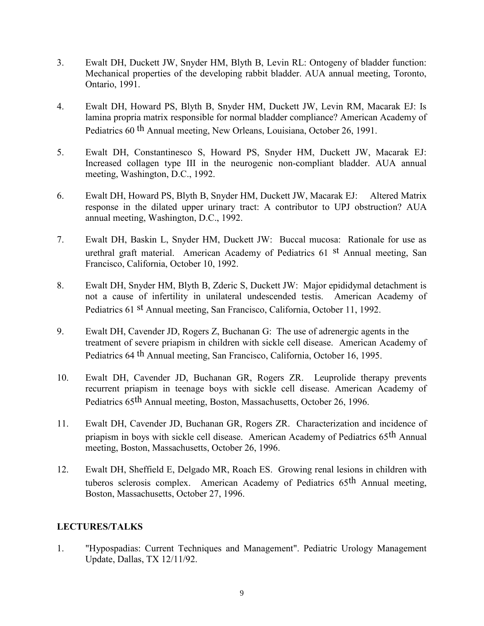- 3. Ewalt DH, Duckett JW, Snyder HM, Blyth B, Levin RL: Ontogeny of bladder function: Mechanical properties of the developing rabbit bladder. AUA annual meeting, Toronto, Ontario, 1991.
- 4. Ewalt DH, Howard PS, Blyth B, Snyder HM, Duckett JW, Levin RM, Macarak EJ: Is lamina propria matrix responsible for normal bladder compliance? American Academy of Pediatrics 60 th Annual meeting, New Orleans, Louisiana, October 26, 1991.
- 5. Ewalt DH, Constantinesco S, Howard PS, Snyder HM, Duckett JW, Macarak EJ: Increased collagen type III in the neurogenic non-compliant bladder. AUA annual meeting, Washington, D.C., 1992.
- 6. Ewalt DH, Howard PS, Blyth B, Snyder HM, Duckett JW, Macarak EJ: Altered Matrix response in the dilated upper urinary tract: A contributor to UPJ obstruction? AUA annual meeting, Washington, D.C., 1992.
- 7. Ewalt DH, Baskin L, Snyder HM, Duckett JW: Buccal mucosa: Rationale for use as urethral graft material. American Academy of Pediatrics 61 st Annual meeting, San Francisco, California, October 10, 1992.
- 8. Ewalt DH, Snyder HM, Blyth B, Zderic S, Duckett JW: Major epididymal detachment is not a cause of infertility in unilateral undescended testis. American Academy of Pediatrics 61 st Annual meeting, San Francisco, California, October 11, 1992.
- 9. Ewalt DH, Cavender JD, Rogers Z, Buchanan G: The use of adrenergic agents in the treatment of severe priapism in children with sickle cell disease. American Academy of Pediatrics 64 th Annual meeting, San Francisco, California, October 16, 1995.
- 10. Ewalt DH, Cavender JD, Buchanan GR, Rogers ZR. Leuprolide therapy prevents recurrent priapism in teenage boys with sickle cell disease. American Academy of Pediatrics 65th Annual meeting, Boston, Massachusetts, October 26, 1996.
- 11. Ewalt DH, Cavender JD, Buchanan GR, Rogers ZR. Characterization and incidence of priapism in boys with sickle cell disease. American Academy of Pediatrics 65th Annual meeting, Boston, Massachusetts, October 26, 1996.
- 12. Ewalt DH, Sheffield E, Delgado MR, Roach ES. Growing renal lesions in children with tuberos sclerosis complex. American Academy of Pediatrics 65th Annual meeting, Boston, Massachusetts, October 27, 1996.

#### LECTURES/TALKS

1. "Hypospadias: Current Techniques and Management". Pediatric Urology Management Update, Dallas, TX 12/11/92.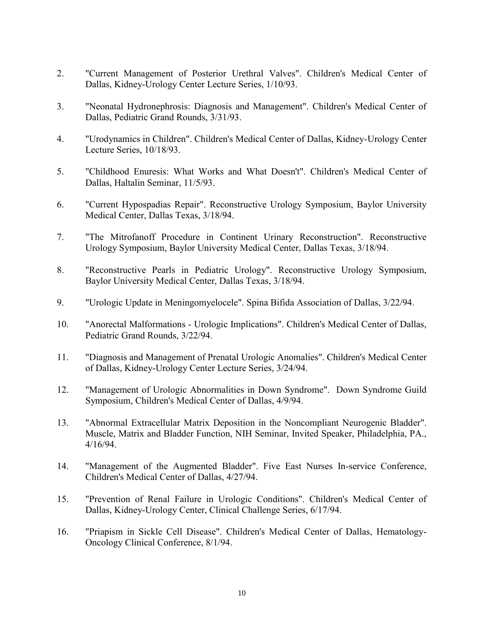- 2. "Current Management of Posterior Urethral Valves". Children's Medical Center of Dallas, Kidney-Urology Center Lecture Series, 1/10/93.
- 3. "Neonatal Hydronephrosis: Diagnosis and Management". Children's Medical Center of Dallas, Pediatric Grand Rounds, 3/31/93.
- 4. "Urodynamics in Children". Children's Medical Center of Dallas, Kidney-Urology Center Lecture Series, 10/18/93.
- 5. "Childhood Enuresis: What Works and What Doesn't". Children's Medical Center of Dallas, Haltalin Seminar, 11/5/93.
- 6. "Current Hypospadias Repair". Reconstructive Urology Symposium, Baylor University Medical Center, Dallas Texas, 3/18/94.
- 7. "The Mitrofanoff Procedure in Continent Urinary Reconstruction". Reconstructive Urology Symposium, Baylor University Medical Center, Dallas Texas, 3/18/94.
- 8. "Reconstructive Pearls in Pediatric Urology". Reconstructive Urology Symposium, Baylor University Medical Center, Dallas Texas, 3/18/94.
- 9. "Urologic Update in Meningomyelocele". Spina Bifida Association of Dallas, 3/22/94.
- 10. "Anorectal Malformations Urologic Implications". Children's Medical Center of Dallas, Pediatric Grand Rounds, 3/22/94.
- 11. "Diagnosis and Management of Prenatal Urologic Anomalies". Children's Medical Center of Dallas, Kidney-Urology Center Lecture Series, 3/24/94.
- 12. "Management of Urologic Abnormalities in Down Syndrome". Down Syndrome Guild Symposium, Children's Medical Center of Dallas, 4/9/94.
- 13. "Abnormal Extracellular Matrix Deposition in the Noncompliant Neurogenic Bladder". Muscle, Matrix and Bladder Function, NIH Seminar, Invited Speaker, Philadelphia, PA., 4/16/94.
- 14. "Management of the Augmented Bladder". Five East Nurses In-service Conference, Children's Medical Center of Dallas, 4/27/94.
- 15. "Prevention of Renal Failure in Urologic Conditions". Children's Medical Center of Dallas, Kidney-Urology Center, Clinical Challenge Series, 6/17/94.
- 16. "Priapism in Sickle Cell Disease". Children's Medical Center of Dallas, Hematology-Oncology Clinical Conference, 8/1/94.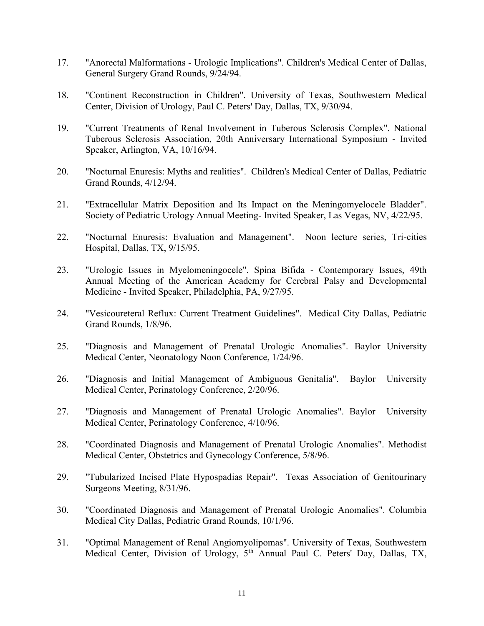- 17. "Anorectal Malformations Urologic Implications". Children's Medical Center of Dallas, General Surgery Grand Rounds, 9/24/94.
- 18. "Continent Reconstruction in Children". University of Texas, Southwestern Medical Center, Division of Urology, Paul C. Peters' Day, Dallas, TX, 9/30/94.
- 19. "Current Treatments of Renal Involvement in Tuberous Sclerosis Complex". National Tuberous Sclerosis Association, 20th Anniversary International Symposium - Invited Speaker, Arlington, VA, 10/16/94.
- 20. "Nocturnal Enuresis: Myths and realities". Children's Medical Center of Dallas, Pediatric Grand Rounds, 4/12/94.
- 21. "Extracellular Matrix Deposition and Its Impact on the Meningomyelocele Bladder". Society of Pediatric Urology Annual Meeting- Invited Speaker, Las Vegas, NV, 4/22/95.
- 22. "Nocturnal Enuresis: Evaluation and Management". Noon lecture series, Tri-cities Hospital, Dallas, TX, 9/15/95.
- 23. "Urologic Issues in Myelomeningocele". Spina Bifida Contemporary Issues, 49th Annual Meeting of the American Academy for Cerebral Palsy and Developmental Medicine - Invited Speaker, Philadelphia, PA, 9/27/95.
- 24. "Vesicoureteral Reflux: Current Treatment Guidelines". Medical City Dallas, Pediatric Grand Rounds, 1/8/96.
- 25. "Diagnosis and Management of Prenatal Urologic Anomalies". Baylor University Medical Center, Neonatology Noon Conference, 1/24/96.
- 26. "Diagnosis and Initial Management of Ambiguous Genitalia". Baylor University Medical Center, Perinatology Conference, 2/20/96.
- 27. "Diagnosis and Management of Prenatal Urologic Anomalies". Baylor University Medical Center, Perinatology Conference, 4/10/96.
- 28. "Coordinated Diagnosis and Management of Prenatal Urologic Anomalies". Methodist Medical Center, Obstetrics and Gynecology Conference, 5/8/96.
- 29. "Tubularized Incised Plate Hypospadias Repair". Texas Association of Genitourinary Surgeons Meeting, 8/31/96.
- 30. "Coordinated Diagnosis and Management of Prenatal Urologic Anomalies". Columbia Medical City Dallas, Pediatric Grand Rounds, 10/1/96.
- 31. "Optimal Management of Renal Angiomyolipomas". University of Texas, Southwestern Medical Center, Division of Urology, 5<sup>th</sup> Annual Paul C. Peters' Day, Dallas, TX,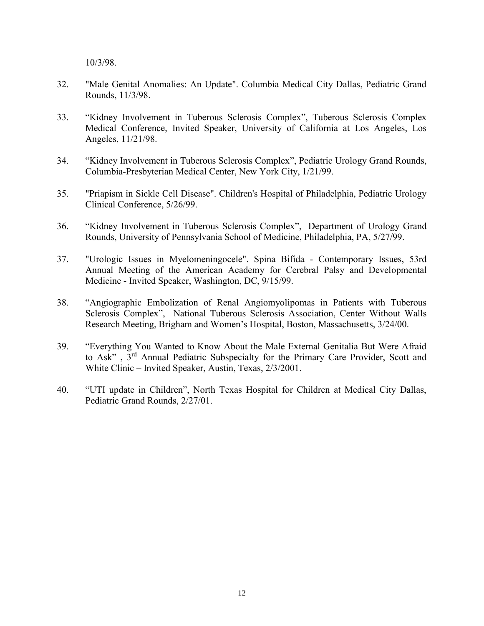10/3/98.

- 32. "Male Genital Anomalies: An Update". Columbia Medical City Dallas, Pediatric Grand Rounds, 11/3/98.
- 33. "Kidney Involvement in Tuberous Sclerosis Complex", Tuberous Sclerosis Complex Medical Conference, Invited Speaker, University of California at Los Angeles, Los Angeles, 11/21/98.
- 34. "Kidney Involvement in Tuberous Sclerosis Complex", Pediatric Urology Grand Rounds, Columbia-Presbyterian Medical Center, New York City, 1/21/99.
- 35. "Priapism in Sickle Cell Disease". Children's Hospital of Philadelphia, Pediatric Urology Clinical Conference, 5/26/99.
- 36. "Kidney Involvement in Tuberous Sclerosis Complex", Department of Urology Grand Rounds, University of Pennsylvania School of Medicine, Philadelphia, PA, 5/27/99.
- 37. "Urologic Issues in Myelomeningocele". Spina Bifida Contemporary Issues, 53rd Annual Meeting of the American Academy for Cerebral Palsy and Developmental Medicine - Invited Speaker, Washington, DC, 9/15/99.
- 38. "Angiographic Embolization of Renal Angiomyolipomas in Patients with Tuberous Sclerosis Complex", National Tuberous Sclerosis Association, Center Without Walls Research Meeting, Brigham and Women's Hospital, Boston, Massachusetts, 3/24/00.
- 39. "Everything You Wanted to Know About the Male External Genitalia But Were Afraid to Ask" , 3rd Annual Pediatric Subspecialty for the Primary Care Provider, Scott and White Clinic – Invited Speaker, Austin, Texas, 2/3/2001.
- 40. "UTI update in Children", North Texas Hospital for Children at Medical City Dallas, Pediatric Grand Rounds, 2/27/01.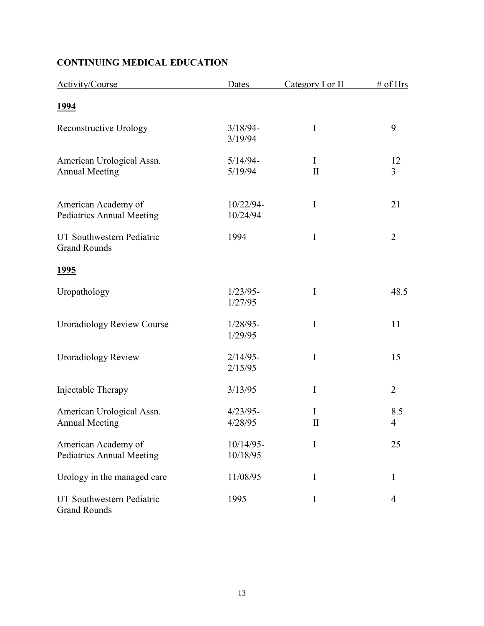# CONTINUING MEDICAL EDUCATION

| Activity/Course                                         | Dates                    | Category I or II  | # of Hrs                        |
|---------------------------------------------------------|--------------------------|-------------------|---------------------------------|
| <u>1994</u>                                             |                          |                   |                                 |
| <b>Reconstructive Urology</b>                           | $3/18/94-$<br>3/19/94    | $\mathbf I$       | 9                               |
| American Urological Assn.<br><b>Annual Meeting</b>      | $5/14/94-$<br>5/19/94    | I<br>$\mathbf{I}$ | 12<br>$\overline{3}$            |
| American Academy of<br><b>Pediatrics Annual Meeting</b> | 10/22/94-<br>10/24/94    | $\bf{I}$          | 21                              |
| UT Southwestern Pediatric<br><b>Grand Rounds</b>        | 1994                     | $\mathbf I$       | $\overline{2}$                  |
| <u>1995</u>                                             |                          |                   |                                 |
| Uropathology                                            | $1/23/95-$<br>1/27/95    | $\mathbf I$       | 48.5                            |
| <b>Uroradiology Review Course</b>                       | $1/28/95-$<br>1/29/95    | I                 | 11                              |
| <b>Uroradiology Review</b>                              | $2/14/95-$<br>2/15/95    | I                 | 15                              |
| Injectable Therapy                                      | 3/13/95                  | I                 | $\overline{2}$                  |
| American Urological Assn.<br><b>Annual Meeting</b>      | $4/23/95-$<br>4/28/95    | I<br>$\mathbf{I}$ | 8.5<br>$\overline{\mathcal{A}}$ |
| American Academy of<br><b>Pediatrics Annual Meeting</b> | $10/14/95$ -<br>10/18/95 | I                 | 25                              |
| Urology in the managed care                             | 11/08/95                 | I                 | 1                               |
| UT Southwestern Pediatric<br><b>Grand Rounds</b>        | 1995                     | I                 | 4                               |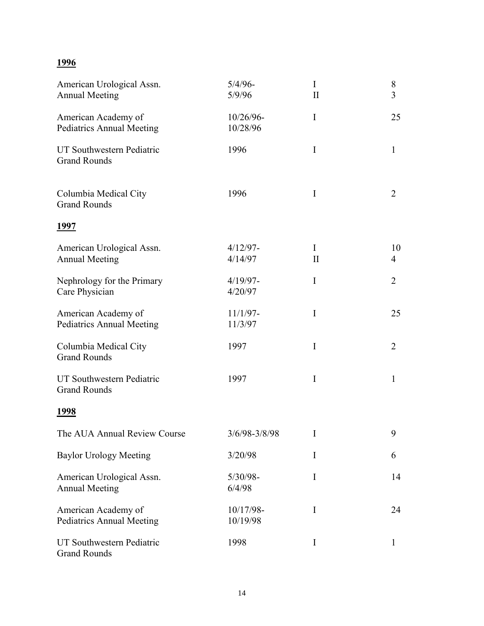# 1996

| American Urological Assn.<br><b>Annual Meeting</b>      | $5/4/96$ -<br>5/9/96   | $\bf{I}$<br>$\rm II$     | $8\,$<br>$\overline{3}$ |
|---------------------------------------------------------|------------------------|--------------------------|-------------------------|
| American Academy of<br><b>Pediatrics Annual Meeting</b> | 10/26/96-<br>10/28/96  | I                        | 25                      |
| UT Southwestern Pediatric<br><b>Grand Rounds</b>        | 1996                   | I                        | $\mathbf{1}$            |
| Columbia Medical City<br><b>Grand Rounds</b>            | 1996                   | I                        | $\overline{2}$          |
| <u> 1997</u>                                            |                        |                          |                         |
| American Urological Assn.<br><b>Annual Meeting</b>      | $4/12/97 -$<br>4/14/97 | $\bf{I}$<br>$\mathbf{I}$ | 10<br>4                 |
| Nephrology for the Primary<br>Care Physician            | $4/19/97 -$<br>4/20/97 | I                        | 2                       |
| American Academy of<br><b>Pediatrics Annual Meeting</b> | $11/1/97-$<br>11/3/97  | I                        | 25                      |
| Columbia Medical City<br><b>Grand Rounds</b>            | 1997                   | I                        | 2                       |
| UT Southwestern Pediatric<br><b>Grand Rounds</b>        | 1997                   | I                        | $\mathbf{1}$            |
| <u> 1998</u>                                            |                        |                          |                         |
| The AUA Annual Review Course                            | 3/6/98-3/8/98          | I                        | 9                       |
| <b>Baylor Urology Meeting</b>                           | 3/20/98                | I                        | 6                       |
| American Urological Assn.<br><b>Annual Meeting</b>      | $5/30/98 -$<br>6/4/98  | I                        | 14                      |
| American Academy of<br><b>Pediatrics Annual Meeting</b> | 10/17/98-<br>10/19/98  | I                        | 24                      |
| UT Southwestern Pediatric<br><b>Grand Rounds</b>        | 1998                   | I                        | $\mathbf{1}$            |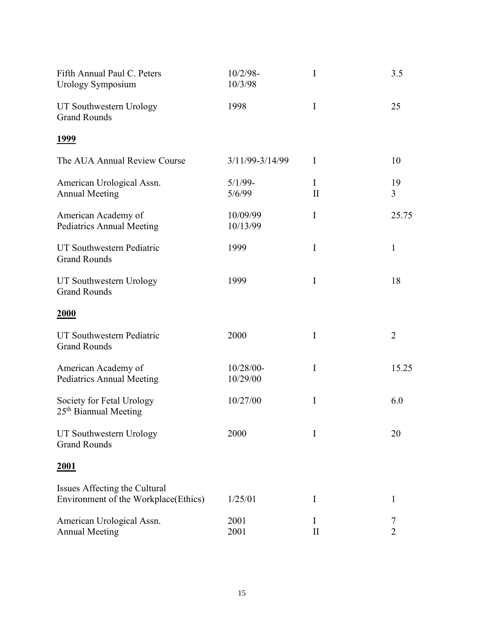| Fifth Annual Paul C. Peters<br><b>Urology Symposium</b>               | $10/2/98 -$<br>10/3/98 | I                    | 3.5            |
|-----------------------------------------------------------------------|------------------------|----------------------|----------------|
| UT Southwestern Urology<br><b>Grand Rounds</b>                        | 1998                   | $\mathbf I$          | 25             |
| <u>1999</u>                                                           |                        |                      |                |
| The AUA Annual Review Course                                          | 3/11/99-3/14/99        | I                    | 10             |
| American Urological Assn.<br><b>Annual Meeting</b>                    | $5/1/99$ -<br>5/6/99   | $\bf{I}$<br>$\rm II$ | 19<br>3        |
| American Academy of<br><b>Pediatrics Annual Meeting</b>               | 10/09/99<br>10/13/99   | I                    | 25.75          |
| UT Southwestern Pediatric<br><b>Grand Rounds</b>                      | 1999                   | I                    | $\mathbf{1}$   |
| UT Southwestern Urology<br><b>Grand Rounds</b>                        | 1999                   | I                    | 18             |
| <b>2000</b>                                                           |                        |                      |                |
| UT Southwestern Pediatric<br><b>Grand Rounds</b>                      | 2000                   | $\mathbf I$          | $\overline{2}$ |
| American Academy of<br><b>Pediatrics Annual Meeting</b>               | 10/28/00-<br>10/29/00  | $\mathbf I$          | 15.25          |
| Society for Fetal Urology<br>25 <sup>th</sup> Biannual Meeting        | 10/27/00               | I                    | 6.0            |
| UT Southwestern Urology<br><b>Grand Rounds</b>                        | 2000                   | I                    | 20             |
| <u>2001</u>                                                           |                        |                      |                |
| Issues Affecting the Cultural<br>Environment of the Workplace(Ethics) | 1/25/01                | I                    | 1              |
| American Urological Assn.<br><b>Annual Meeting</b>                    | 2001<br>2001           | I<br>$\rm II$        | $\overline{2}$ |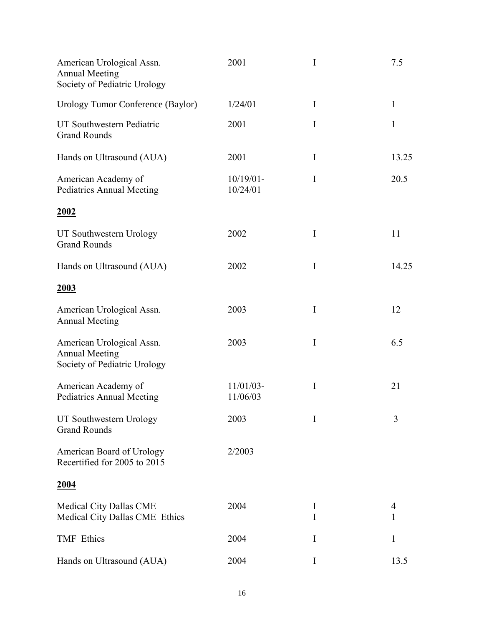| American Urological Assn.<br><b>Annual Meeting</b><br>Society of Pediatric Urology | 2001                     | I        | 7.5          |
|------------------------------------------------------------------------------------|--------------------------|----------|--------------|
| <b>Urology Tumor Conference (Baylor)</b>                                           | 1/24/01                  | $\bf{I}$ | $\mathbf{1}$ |
| UT Southwestern Pediatric<br><b>Grand Rounds</b>                                   | 2001                     | I        | $\mathbf{1}$ |
| Hands on Ultrasound (AUA)                                                          | 2001                     | I        | 13.25        |
| American Academy of<br><b>Pediatrics Annual Meeting</b>                            | $10/19/01$ -<br>10/24/01 | I        | 20.5         |
| <u>2002</u>                                                                        |                          |          |              |
| UT Southwestern Urology<br><b>Grand Rounds</b>                                     | 2002                     | $\bf{I}$ | 11           |
| Hands on Ultrasound (AUA)                                                          | 2002                     | $\bf{I}$ | 14.25        |
| 2003                                                                               |                          |          |              |
| American Urological Assn.<br><b>Annual Meeting</b>                                 | 2003                     | $\bf{I}$ | 12           |
| American Urological Assn.<br><b>Annual Meeting</b><br>Society of Pediatric Urology | 2003                     | I        | 6.5          |
| American Academy of<br><b>Pediatrics Annual Meeting</b>                            | $11/01/03$ -<br>11/06/03 | $\rm I$  | 21           |
| UT Southwestern Urology<br><b>Grand Rounds</b>                                     | 2003                     | I        | 3            |
| American Board of Urology<br>Recertified for 2005 to 2015                          | 2/2003                   |          |              |
| <u>2004</u>                                                                        |                          |          |              |
| Medical City Dallas CME<br>Medical City Dallas CME Ethics                          | 2004                     | I<br>I   | 4<br>1       |
| <b>TMF</b> Ethics                                                                  | 2004                     | I        | 1            |
| Hands on Ultrasound (AUA)                                                          | 2004                     | I        | 13.5         |